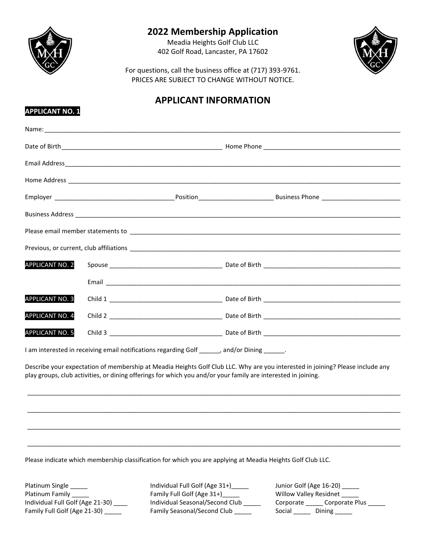

**APPLICANT NO. 1**

# **2022 Membership Application**

Meadia Heights Golf Club LLC 402 Golf Road, Lancaster, PA 17602



For questions, call the business office at (717) 393-9761. PRICES ARE SUBJECT TO CHANGE WITHOUT NOTICE.

# **APPLICANT INFORMATION**

|                        | Please email member statements to entitled and the state of the state of the state of the state of the state of |                                                                                                                                |
|------------------------|-----------------------------------------------------------------------------------------------------------------|--------------------------------------------------------------------------------------------------------------------------------|
|                        |                                                                                                                 |                                                                                                                                |
| <b>APPLICANT NO. 2</b> |                                                                                                                 |                                                                                                                                |
|                        |                                                                                                                 |                                                                                                                                |
| APPLICANT NO. 3        |                                                                                                                 |                                                                                                                                |
| <b>APPLICANT NO. 4</b> |                                                                                                                 |                                                                                                                                |
| <b>APPLICANT NO. 5</b> |                                                                                                                 |                                                                                                                                |
|                        | I am interested in receiving email notifications regarding Golf ______, and/or Dining ______.                   |                                                                                                                                |
|                        | play groups, club activities, or dining offerings for which you and/or your family are interested in joining.   | Describe your expectation of membership at Meadia Heights Golf Club LLC. Why are you interested in joining? Please include any |
|                        |                                                                                                                 |                                                                                                                                |
|                        |                                                                                                                 |                                                                                                                                |

Please indicate which membership classification for which you are applying at Meadia Heights Golf Club LLC.

Platinum Single \_\_\_\_\_ Individual Full Golf (Age 31+)\_\_\_\_\_ Junior Golf (Age 16-20) \_\_\_\_\_ Platinum Family \_\_\_\_\_\_\_ https://willow.org/ Family Full Golf (Age 31+)\_\_\_\_\_\_ willow Valley Residnet \_\_\_\_\_ Family Full Golf (Age 21-30) \_\_\_\_\_\_ Family Seasonal/Second Club \_\_\_\_\_ Social \_\_\_\_ Dining \_\_\_\_\_

\_\_\_\_\_\_\_\_\_\_\_\_\_\_\_\_\_\_\_\_\_\_\_\_\_\_\_\_\_\_\_\_\_\_\_\_\_\_\_\_\_\_\_\_\_\_\_\_\_\_\_\_\_\_\_\_\_\_\_\_\_\_\_\_\_\_\_\_\_\_\_\_\_\_\_\_\_\_\_\_\_\_\_\_\_\_\_\_\_\_\_\_\_\_\_\_\_\_\_\_\_\_\_\_\_\_\_\_\_

Individual Full Golf (Age 21-30) \_\_\_\_ Individual Seasonal/Second Club \_\_\_\_\_ Corporate \_\_\_\_\_ Corporate Plus \_\_\_\_\_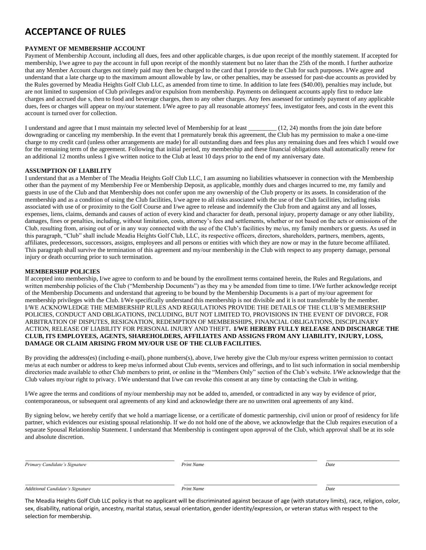## **ACCEPTANCE OF RULES**

### **PAYMENT OF MEMBERSHIP ACCOUNT**

Payment of Membership Account, including all dues, fees and other applicable charges, is due upon receipt of the monthly statement. If accepted for membership, I/we agree to pay the account in full upon receipt of the monthly statement but no later than the 25th of the month. I further authorize that any Member Account charges not timely paid may then be charged to the card that I provide to the Club for such purposes. I/We agree and understand that a late charge up to the maximum amount allowable by law, or other penalties, may be assessed for past-due accounts as provided by the Rules governed by Meadia Heights Golf Club LLC, as amended from time to time. In addition to late fees (\$40.00), penalties may include, but are not limited to suspension of Club privileges and/or expulsion from membership. Payments on delinquent accounts apply first to reduce late charges and accrued due s, then to food and beverage charges, then to any other charges. Any fees assessed for untimely payment of any applicable dues, fees or charges will appear on my/our statement. I/We agree to pay all reasonable attorneys' fees, investigator fees, and costs in the event this account is turned over for collection.

I understand and agree that I must maintain my selected level of Membership for at least \_\_\_\_\_\_\_\_\_ (12, 24) months from the join date before downgrading or canceling my membership. In the event that I prematurely break this agreement, the Club has my permission to make a one-time charge to my credit card (unless other arrangements are made) for all outstanding dues and fees plus any remaining dues and fees which I would owe for the remaining term of the agreement. Following that initial period, my membership and these financial obligations shall automatically renew for an additional 12 months unless I give written notice to the Club at least 10 days prior to the end of my anniversary date.

#### **ASSUMPTION OF LIABILITY**

I understand that as a Member of The Meadia Heights Golf Club LLC, I am assuming no liabilities whatsoever in connection with the Membership other than the payment of my Membership Fee or Membership Deposit, as applicable, monthly dues and charges incurred to me, my family and guests in use of the Club and that Membership does not confer upon me any ownership of the Club property or its assets. In consideration of the membership and as a condition of using the Club facilities, I/we agree to all risks associated with the use of the Club facilities, including risks associated with use of or proximity to the Golf Course and I/we agree to release and indemnify the Club from and against any and all losses, expenses, liens, claims, demands and causes of action of every kind and character for death, personal injury, property damage or any other liability, damages, fines or penalties, including, without limitation, costs, attorney's fees and settlements, whether or not based on the acts or omissions of the Club, resulting from, arising out of or in any way connected with the use of the Club's facilities by me/us, my family members or guests. As used in this paragraph, "Club" shall include Meadia Heights Golf Club, LLC, its respective officers, directors, shareholders, partners, members, agents, affiliates, predecessors, successors, assigns, employees and all persons or entities with which they are now or may in the future become affiliated. This paragraph shall survive the termination of this agreement and my/our membership in the Club with respect to any property damage, personal injury or death occurring prior to such termination.

#### **MEMBERSHIP POLICIES**

If accepted into membership, I/we agree to conform to and be bound by the enrollment terms contained herein, the Rules and Regulations, and written membership policies of the Club ("Membership Documents") as they ma y be amended from time to time. I/We further acknowledge receipt of the Membership Documents and understand that agreeing to be bound by the Membership Documents is a part of my/our agreement for membership privileges with the Club. I/We specifically understand this membership is not divisible and it is not transferrable by the member. I/WE ACKNOWLEDGE THE MEMBERSHIP RULES AND REGULATIONS PROVIDE THE DETAILS OF THE CLUB'S MEMBERSHIP POLICIES, CONDUCT AND OBLIGATIONS, INCLUDING, BUT NOT LIMITED TO, PROVISIONS IN THE EVENT OF DIVORCE, FOR ARBITRATION OF DISPUTES, RESIGNATION, REDEMPTION OF MEMBERSHIPS, FINANCIAL OBLIGATIONS, DISCIPLINARY ACTION, RELEASE OF LIABILITY FOR PERSONAL INJURY AND THEFT**. I/WE HEREBY FULLY RELEASE AND DISCHARGE THE CLUB, ITS EMPLOYEES, AGENTS, SHAREHOLDERS, AFFILIATES AND ASSIGNS FROM ANY LIABILITY, INJURY, LOSS, DAMAGE OR CLAIM ARISING FROM MY/OUR USE OF THE CLUB FACILITIES.**

By providing the address(es) (including e-mail), phone numbers(s), above, I/we hereby give the Club my/our express written permission to contact me/us at each number or address to keep me/us informed about Club events, services and offerings, and to list such information in social membership directories made available to other Club members to print, or online in the "Members Only" section of the Club's website. I/We acknowledge that the Club values my/our right to privacy. I/We understand that I/we can revoke this consent at any time by contacting the Club in writing.

I/We agree the terms and conditions of my/our membership may not be added to, amended, or contradicted in any way by evidence of prior, contemporaneous, or subsequent oral agreements of any kind and acknowledge there are no unwritten oral agreements of any kind.

By signing below, we hereby certify that we hold a marriage license, or a certificate of domestic partnership, civil union or proof of residency for life partner, which evidences our existing spousal relationship. If we do not hold one of the above, we acknowledge that the Club requires execution of a separate Spousal Relationship Statement. I understand that Membership is contingent upon approval of the Club, which approval shall be at its sole and absolute discretion.

| Primary Candidate's Signature    | Print Name | Date |
|----------------------------------|------------|------|
| Additional Candidate's Signature | Print Name | Date |

The Meadia Heights Golf Club LLC policy is that no applicant will be discriminated against because of age (with statutory limits), race, religion, color, sex, disability, national origin, ancestry, marital status, sexual orientation, gender identity/expression, or veteran status with respect to the selection for membership.